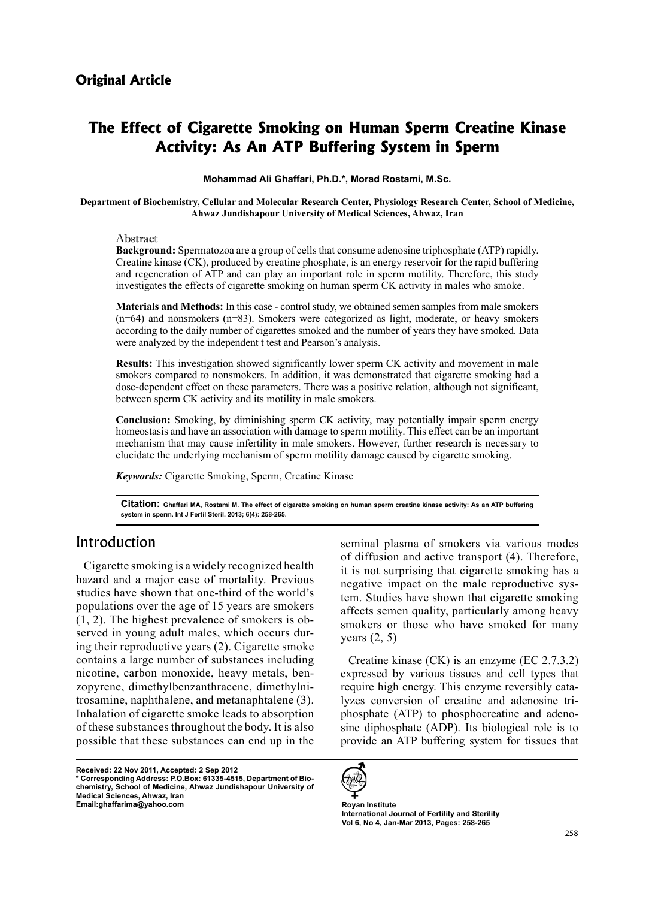# **The Effect of Cigarette Smoking on Human Sperm Creatine Kinase Activity: As An ATP Buffering System in Sperm**

Mohammad Ali Ghaffari, Ph.D.\*, Morad Rostami, M.Sc.

Department of Biochemistry, Cellular and Molecular Research Center, Physiology Research Center, School of Medicine, Ahwaz Jundishapour University of Medical Sciences, Ahwaz, Iran

Abstract

**Background:** Spermatozoa are a group of cells that consume adenosine triphosphate (ATP) rapidly. Creatine kinase (CK), produced by creatine phosphate, is an energy reservoir for the rapid buffering and regeneration of ATP and can play an important role in sperm motility. Therefore, this study investigates the effects of cigarette smoking on human sperm CK activity in males who smoke.

Materials and Methods: In this case - control study, we obtained semen samples from male smokers  $(n=64)$  and nonsmokers  $(n=83)$ . Smokers were categorized as light, moderate, or heavy smokers according to the daily number of cigarettes smoked and the number of years they have smoked. Data were analyzed by the independent t test and Pearson's analysis.

**Results:** This investigation showed significantly lower sperm CK activity and movement in male smokers compared to nonsmokers. In addition, it was demonstrated that cigarette smoking had a dose-dependent effect on these parameters. There was a positive relation, although not significant, between sperm CK activity and its motility in male smokers.

**Conclusion:** Smoking, by diminishing sperm CK activity, may potentially impair sperm energy homeostasis and have an association with damage to sperm motility. This effect can be an important mechanism that may cause infertility in male smokers. However, further research is necessary to . elucidate the underlying mechanism of sperm motility damage caused by cigarette smoking.

Keywords: Cigarette Smoking, Sperm, Creatine Kinase

Citation: Ghaffari MA, Rostami M. The effect of cigarette smoking on human sperm creatine kinase activity: As an ATP buffering system in sperm. Int J Fertil Steril. 2013; 6(4): 258-265.

# Introduction

Cigarette smoking is a widely recognized health hazard and a major case of mortality. Previous studies have shown that one-third of the world's populations over the age of 15 years are smokers ing their reproductive years  $(2)$ . Cigarette smoke served in young adult males, which occurs dur- $(1, 2)$ . The highest prevalence of smokers is obcontains a large number of substances including trosamine, naphthalene, and metanaphtalene  $(3)$ . zopyrene, dimethylbenzanthracene, dimethylninicotine, carbon monoxide, heavy metals, ben-Inhalation of cigarette smoke leads to absorption of these substances throughout the body. It is also possible that these substances can end up in the

**Received: 22 Nov 2011, Accepted: 2 Sep 2012** chemistry, School of Medicine, Ahwaz Jundishapour University of  $^*$  Corresponding Address: P.O.Box: 61335-4515, Department of Bio-**Medical Sciences, Ahwaz, Iran Institute Royan Institute Royan Institute** Royan Institute

seminal plasma of smokers via various modes of diffusion and active transport  $(4)$ . Therefore, it is not surprising that cigarette smoking has a tem. Studies have shown that cigarette smoking negative impact on the male reproductive sysaffects semen quality, particularly among heavy smokers or those who have smoked for many years  $(2, 5)$ 

Creatine kinase  $(CK)$  is an enzyme  $(EC 2.7.3.2)$ expressed by various tissues and cell types that sine diphosphate  $(ADP)$ . Its biological role is to phosphate (ATP) to phosphocreatine and adenolyzes conversion of creatine and adenosine trirequire high energy. This enzyme reversibly cataprovide an ATP buffering system for tissues that



**International Journal of Fertility and Sterility** Vol 6, No 4, Jan-Mar 2013, Pages: 258-265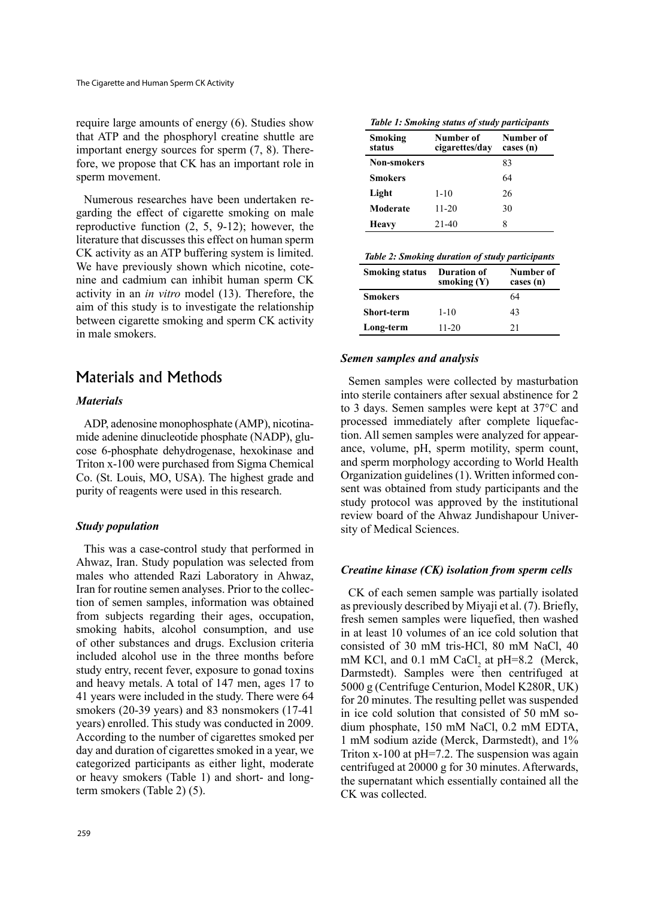require large amounts of energy  $(6)$ . Studies show that ATP and the phosphoryl creatine shuttle are fore, we propose that CK has an important role in important energy sources for sperm  $(7, 8)$ . Theresperm movement.

garding the effect of eigarette smoking on male Numerous researches have been undertaken rereproductive function  $(2, 5, 9-12)$ ; however, the literature that discusses this effect on human sperm CK activity as an ATP buffering system is limited. nine and cadmium can inhibit human sperm CK We have previously shown which nicotine, coteactivity in an *in vitro* model (13). Therefore, the aim of this study is to investigate the relationship between cigarette smoking and sperm CK activity in male smokers.

# Materials and Methods

#### *Materials*

cose 6-phosphate dehydrogenase, hexokinase and mide adenine dinucleotide phosphate (NADP), glu-ADP, adenosine monophosphate (AMP), nicotina-Triton x-100 were purchased from Sigma Chemical Co. (St. Louis, MO, USA). The highest grade and purity of reagents were used in this research.

#### *Study* population

This was a case-control study that performed in Ahwaz, Iran. Study population was selected from males who attended Razi Laboratory in Ahwaz, tion of semen samples, information was obtained Iran for routine semen analyses. Prior to the collecfrom subjects regarding their ages, occupation, smoking habits, alcohol consumption, and use of other substances and drugs. Exclusion criteria included alcohol use in the three months before study entry, recent fever, exposure to gonad toxins and heavy metals. A total of 147 men, ages 17 to 41 years were included in the study. There were 64 smokers  $(20-39 \text{ years})$  and 83 nonsmokers  $(17-41)$ years) enrolled. This study was conducted in 2009. According to the number of cigarettes smoked per day and duration of cigarettes smoked in a year, we categorized participants as either light, moderate or heavy smokers (Table 1) and short- and long-<br>term smokers (Table 2) (5).

 **Smoking**

| status             | cigarettes/day | cases (n) |  |
|--------------------|----------------|-----------|--|
| <b>Non-smokers</b> |                | 83        |  |
| <b>Smokers</b>     |                | 64        |  |
| Light              | $1 - 10$       | 26        |  |
| Moderate           | 11-20          | 30        |  |
| Heavy              | 21-40          | 8         |  |

**Table 1: Smoking status of study participants** 

**Number** of **day/cigarettes** **Number** of

| <b>Smoking status</b> | <b>Duration of</b><br>smoking $(Y)$ | Number of<br>cases (n) |  |
|-----------------------|-------------------------------------|------------------------|--|
| <b>Smokers</b>        |                                     | 64                     |  |
| <b>Short-term</b>     | $1 - 10$                            | 43                     |  |
| Long-term             | $11 - 20$                           | 21                     |  |

#### *Semen samples and analysis*

Semen samples were collected by masturbation into sterile containers after sexual abstinence for 2 to 3 days. Semen samples were kept at  $37^{\circ}$ C and ance, volume, pH, sperm motility, sperm count, tion. All semen samples were analyzed for appearprocessed immediately after complete liquefacand sperm morphology according to World Health sent was obtained from study participants and the Organization guidelines (1). Written informed constudy protocol was approved by the institutional review board of the Ahwaz Jundishapour University of Medical Sciences.

#### *Creatine kinase (CK) isolation from sperm cells*

CK of each semen sample was partially isolated as previously described by Miyaji et al. (7). Briefly, fresh semen samples were liquefied, then washed in at least 10 volumes of an ice cold solution that consisted of 30 mM tris-HCl, 80 mM NaCl, 40 mM KCl, and  $0.1$  mM CaCl<sub>2</sub> at pH=8.2 (Merck, Darmstedt). Samples were then centrifuged at  $5000$  g (Centrifuge Centurion, Model K280R, UK) for 20 minutes. The resulting pellet was suspended dium phosphate, 150 mM NaCl, 0.2 mM EDTA, in ice cold solution that consisted of 50 mM so-1 mM sodium azide (Merck, Darmstedt), and 1% Triton  $x-100$  at  $pH=7.2$ . The suspension was again centrifuged at 20000 g for 30 minutes. Afterwards, the supernatant which essentially contained all the CK was collected.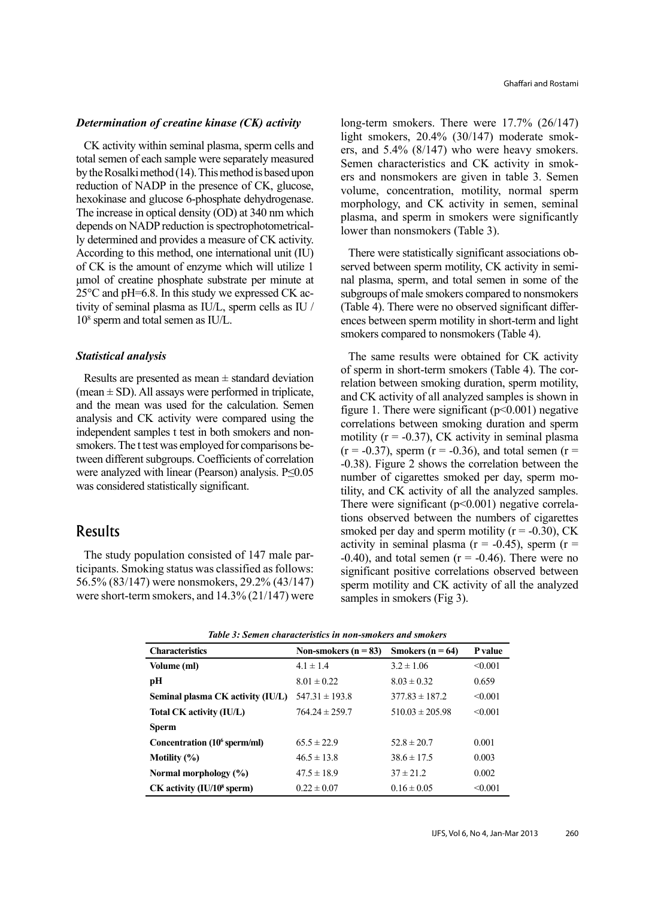#### *Determination of creatine kinase (CK) activity*

CK activity within seminal plasma, sperm cells and total semen of each sample were separately measured by the Rosalki method  $(14)$ . This method is based upon reduction of NADP in the presence of CK, glucose. hexokinase and glucose 6-phosphate dehydrogenase. The increase in optical density  $(OD)$  at 340 nm which ly determined and provides a measure of CK activity. depends on NADP reduction is spectrophotometrical-According to this method, one international unit  $(IU)$ of CK is the amount of enzyme which will utilize 1 μmol of creatine phosphate substrate per minute at tivity of seminal plasma as  $IU/L$ , sperm cells as  $IU/$  $25^{\circ}$ C and pH=6.8. In this study we expressed CK ac- $10<sup>8</sup>$  sperm and total semen as IU/L.

#### *analysis Statistical*

Results are presented as mean  $\pm$  standard deviation (mean  $\pm$  SD). All assays were performed in triplicate, and the mean was used for the calculation. Semen analysis and CK activity were compared using the tween different subgroups. Coefficients of correlation smokers. The t test was employed for comparisons beindependent samples t test in both smokers and nonwere analyzed with linear (Pearson) analysis. P≤0.05 was considered statistically significant.

### Results

ticipants. Smoking status was classified as follows: The study population consisted of 147 male par-56.5% (83/147) were nonsmokers, 29.2% (43/147) were short-term smokers, and  $14.3\%$  (21/147) were long-term smokers. There were  $17.7\%$  (26/147) ers, and  $5.4\%$  (8/147) who were heavy smokers. light smokers,  $20.4\%$  (30/147) moderate smokers and nonsmokers are given in table 3. Semen Semen characteristics and CK activity in smokvolume, concentration, motility, normal sperm morphology, and CK activity in semen, seminal plasma, and sperm in smokers were significantly lower than nonsmokers (Table 3).

nal plasma, sperm, and total semen in some of the served between sperm motility, CK activity in semi-There were statistically significant associations obsubgroups of male smokers compared to nonsmokers (Table 4). There were no observed significant differences between sperm motility in short-term and light smokers compared to nonsmokers (Table 4).

The same results were obtained for CK activity relation between smoking duration, sperm motility, of sperm in short-term smokers (Table 4). The corand CK activity of all analyzed samples is shown in figure 1. There were significant  $(p<0.001)$  negative correlations between smoking duration and sperm motility ( $r = -0.37$ ), CK activity in seminal plasma  $(r = -0.37)$ , sperm  $(r = -0.36)$ , and total semen  $(r =$  $-0.38$ ). Figure 2 shows the correlation between the tility, and CK activity of all the analyzed samples. number of cigarettes smoked per day, sperm motions observed between the numbers of cigarettes There were significant  $(p<0.001)$  negative correlasmoked per day and sperm motility  $(r = -0.30)$ , CK activity in seminal plasma ( $r = -0.45$ ), sperm ( $r =$ -0.40), and total semen  $(r = -0.46)$ . There were no significant positive correlations observed between sperm motility and CK activity of all the analyzed samples in smokers (Fig 3).

| <b>Characteristics</b>                   | Non-smokers $(n = 83)$ | Smokers $(n = 64)$  | P value |
|------------------------------------------|------------------------|---------------------|---------|
| Volume (ml)                              | $4.1 \pm 1.4$          | $3.2 \pm 1.06$      | < 0.001 |
| pН                                       | $8.01 \pm 0.22$        | $8.03 \pm 0.32$     | 0.659   |
| Seminal plasma CK activity (IU/L)        | $547.31 \pm 193.8$     | $377.83 \pm 187.2$  | < 0.001 |
| Total CK activity (IU/L)                 | $764.24 \pm 259.7$     | $510.03 \pm 205.98$ | < 0.001 |
| <b>Sperm</b>                             |                        |                     |         |
| Concentration (10 <sup>6</sup> sperm/ml) | $65.5 \pm 22.9$        | $52.8 \pm 20.7$     | 0.001   |
| Motility $(\%)$                          | $46.5 \pm 13.8$        | $38.6 \pm 17.5$     | 0.003   |
| Normal morphology $(\%)$                 | $47.5 \pm 18.9$        | $37 \pm 21.2$       | 0.002   |
| $CK$ activity (IU/10 <sup>8</sup> sperm) | $0.22 \pm 0.07$        | $0.16 \pm 0.05$     | < 0.001 |

|  |  |  | Table 3: Semen characteristics in non-smokers and smokers |
|--|--|--|-----------------------------------------------------------|
|--|--|--|-----------------------------------------------------------|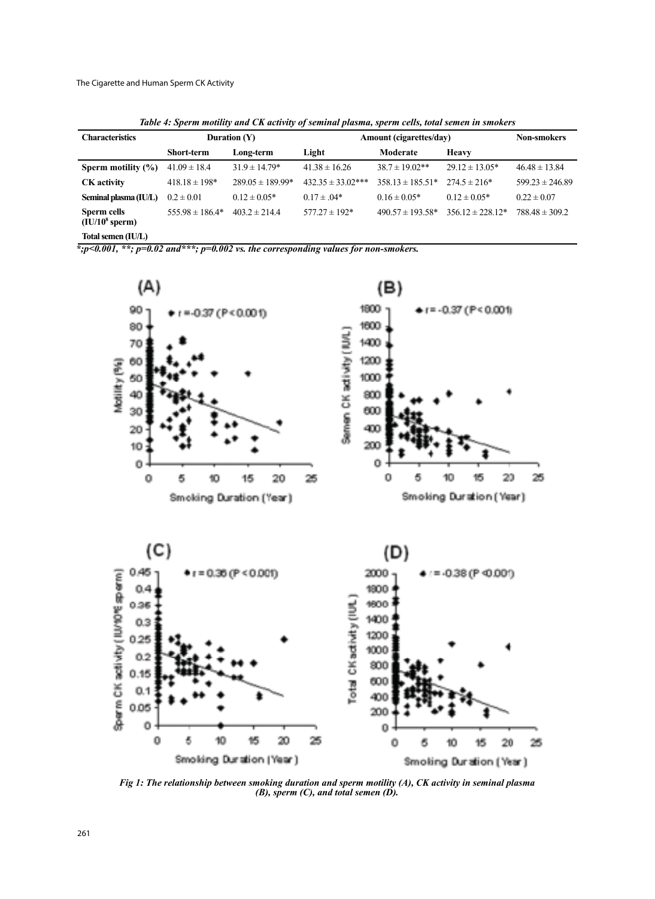The Cigarette and Human Sperm CK Activity

Table 4: Sperm motility and CK activity of seminal plasma, sperm cells, total semen in smokers

| <b>Characteristics</b>          | Duration $(Y)$      |                      | Amount (cigarettes/day) |                      |                      | <b>Non-smokers</b>  |
|---------------------------------|---------------------|----------------------|-------------------------|----------------------|----------------------|---------------------|
|                                 | <b>Short-term</b>   | Long-term            | Light                   | Moderate             | <b>Heavy</b>         |                     |
| Sperm motility $(\% )$          | $41.09 \pm 18.4$    | $31.9 \pm 14.79*$    | $41.38 \pm 16.26$       | $38.7 \pm 19.02**$   | $29.12 \pm 13.05*$   | $46.48 \pm 13.84$   |
| <b>CK</b> activity              | $418.18 \pm 198*$   | $289.05 \pm 189.99*$ | $432.35 \pm 33.02***$   | $358.13 \pm 185.51*$ | $274.5 \pm 216*$     | $599.23 \pm 246.89$ |
| Seminal plasma (IU/L)           | $0.2 \pm 0.01$      | $0.12 \pm 0.05*$     | $0.17 \pm .04*$         | $0.16 \pm 0.05*$     | $0.12 \pm 0.05*$     | $0.22 \pm 0.07$     |
| Sperm cells<br>$(IU/108$ sperm) | $555.98 \pm 186.4*$ | $403.2 \pm 214.4$    | $577.27 \pm 192*$       | $490.57 \pm 193.58*$ | $356.12 \pm 228.12*$ | $788.48 \pm 309.2$  |
| $\text{Total common}$ (HIII)    |                     |                      |                         |                      |                      |                     |

Total semen (IU/L)

 $\overline{\cdot}$ ;  $p$  < 0.001,  $\overline{\cdot}$ ;  $p$ =0.02 and  $\overline{\cdot}$   $\overline{\cdot}$ ;  $p$ =0.002 vs. the corresponding values for non-smokers.



*Fig 1: The relationship between smoking duration and sperm motility (A), CK activity in seminal plasma (B), sperm (C), and total semen (D).*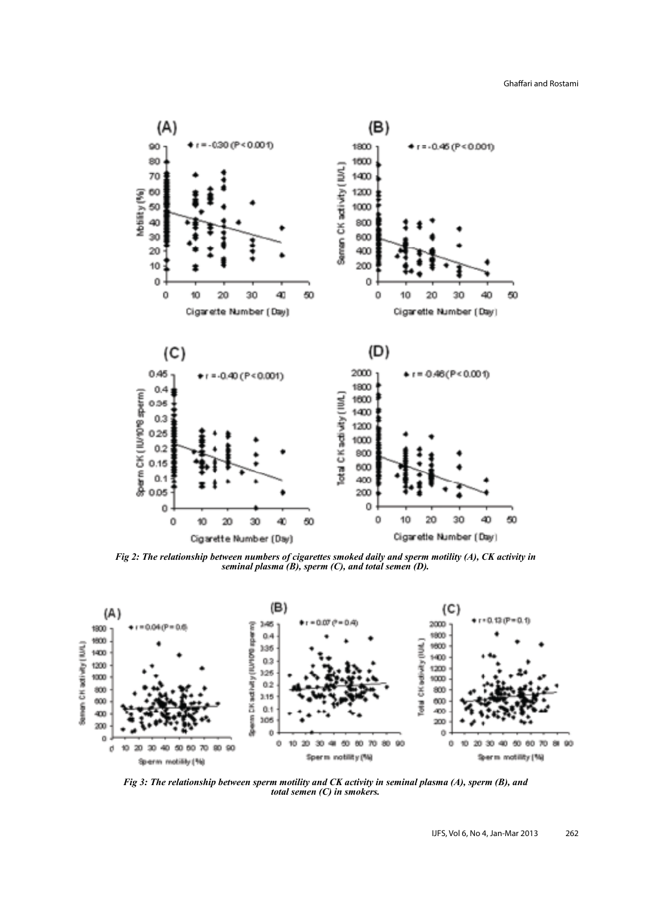Ghaffari and Rostami



*Fig 2: The relationship between numbers of cigarettes smoked daily and sperm motility (A), CK activity in seminal plasma (B), sperm (C), and total semen (D).* 



*Fig 3: The relationship between sperm motility and CK activity in seminal plasma (A), sperm (B), and total semen (C) in smokers.*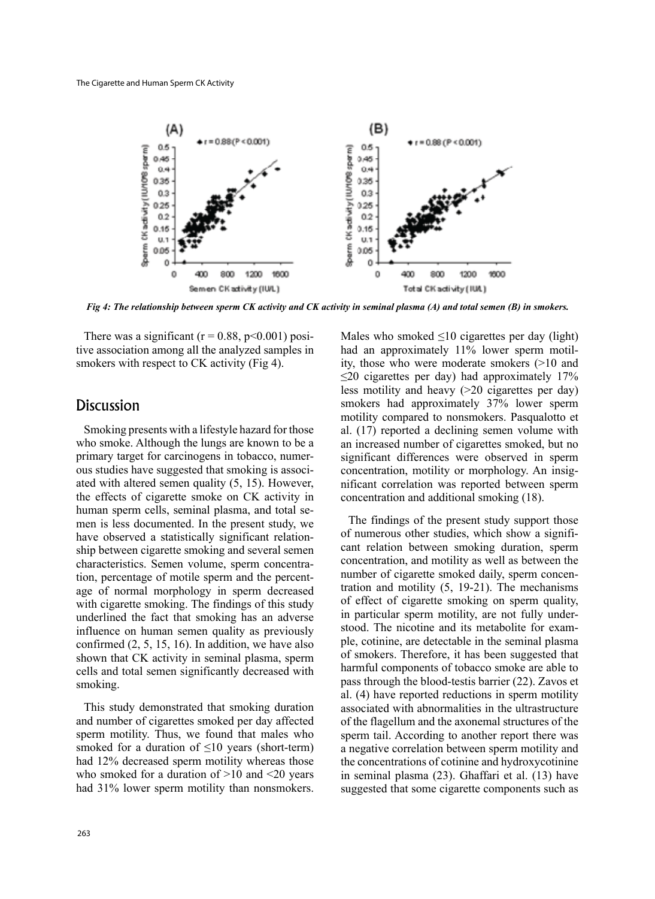

*Fig 4: The relationship between sperm CK activity and CK activity in seminal plasma (A) and total semen (B) in smokers.* 

tive association among all the analyzed samples in There was a significant ( $r = 0.88$ ,  $p < 0.001$ ) posismokers with respect to CK activity (Fig 4).

### **Discussion**

Smoking presents with a lifestyle hazard for those who smoke. Although the lungs are known to be a ated with altered semen quality  $(5, 15)$ . However, ous studies have suggested that smoking is associprimary target for carcinogens in tobacco, numerthe effects of cigarette smoke on CK activity in men is less documented. In the present study, we human sperm cells, seminal plasma, and total seship between cigarette smoking and several semen have observed a statistically significant relationage of normal morphology in sperm decreased tion, percentage of motile sperm and the percentcharacteristics. Semen volume, sperm concentrawith cigarette smoking. The findings of this study underlined the fact that smoking has an adverse influence on human semen quality as previously confirmed  $(2, 5, 15, 16)$ . In addition, we have also shown that CK activity in seminal plasma, sperm cells and total semen significantly decreased with smoking.

This study demonstrated that smoking duration and number of cigarettes smoked per day affected sperm motility. Thus, we found that males who smoked for a duration of  $\leq 10$  years (short-term) had 12% decreased sperm motility whereas those who smoked for a duration of  $>10$  and  $< 20$  years had 31% lower sperm motility than nonsmokers.

Males who smoked  $\leq 10$  cigarettes per day (light) ity, those who were moderate smokers  $(>10$  and had an approximately 11% lower sperm motil- $\leq$ 20 cigarettes per day) had approximately 17% less motility and heavy  $(>20$  cigarettes per day) smokers had approximately 37% lower sperm motility compared to nonsmokers. Pasqualotto et al.  $(17)$  reported a declining semen volume with an increased number of cigarettes smoked, but no significant differences were observed in sperm nificant correlation was reported between sperm concentration, motility or morphology. An insigconcentration and additional smoking (18).

The findings of the present study support those cant relation between smoking duration, sperm of numerous other studies, which show a significoncentration, and motility as well as between the tration and motility  $(5, 19-21)$ . The mechanisms number of cigarette smoked daily, sperm concenof effect of cigarette smoking on sperm quality, ple, cotinine, are detectable in the seminal plasma stood. The nicotine and its metabolite for examin particular sperm motility, are not fully underof smokers. Therefore, it has been suggested that harmful components of tobacco smoke are able to pass through the blood-testis barrier (22). Zavos et al. (4) have reported reductions in sperm motility associated with abnormalities in the ultrastructure of the flagellum and the axonemal structures of the sperm tail. According to another report there was a negative correlation between sperm motility and the concentrations of cotinine and hydroxycotinine in seminal plasma  $(23)$ . Ghaffari et al.  $(13)$  have suggested that some cigarette components such as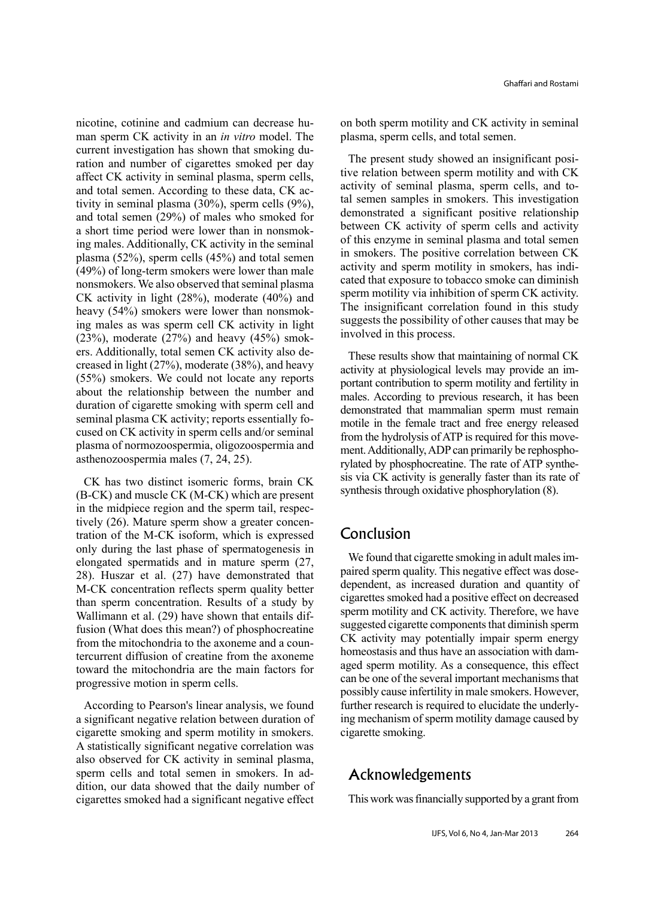man sperm CK activity in an in vitro model. The nicotine, cotinine and cadmium can decrease huration and number of cigarettes smoked per day current investigation has shown that smoking duaffect CK activity in seminal plasma, sperm cells, tivity in seminal plasma  $(30\%)$ , sperm cells  $(9\%)$ , and total semen. According to these data, CK acand total semen  $(29%)$  of males who smoked for ing males. Additionally, CK activity in the seminal a short time period were lower than in nonsmokplasma  $(52\%)$ , sperm cells  $(45\%)$  and total semen  $(49%)$  of long-term smokers were lower than male nonsmokers. We also observed that seminal plasma CK activity in light  $(28%)$ , moderate  $(40%)$  and ing males as was sperm cell CK activity in light heavy  $(54\%)$  smokers were lower than nonsmokcreased in light  $(27%)$ , moderate  $(38%)$ , and heavy ers. Additionally, total semen CK activity also de- $(23%)$ , moderate  $(27%)$  and heavy  $(45%)$  smok- $(55%)$  smokers. We could not locate any reports about the relationship between the number and duration of cigarette smoking with sperm cell and cused on CK activity in sperm cells and/or seminal seminal plasma CK activity; reports essentially foplasma of normozoospermia, oligozoospermia and asthenozoospermia males  $(7, 24, 25)$ .

CK has two distinct isomeric forms, brain CK  $(B-CK)$  and muscle CK  $(M-CK)$  which are present tration of the M-CK isoform, which is expressed tively  $(26)$ . Mature sperm show a greater concenin the midpiece region and the sperm tail, respeconly during the last phase of spermatogenesis in elongated spermatids and in mature sperm (27, 28). Huszar et al.  $(27)$  have demonstrated that M-CK concentration reflects sperm quality better than sperm concentration. Results of a study by fusion (What does this mean?) of phosphocreatine Wallimann et al. (29) have shown that entails diftercurrent diffusion of creatine from the axoneme from the mitochondria to the axoneme and a countoward the mitochondria are the main factors for progressive motion in sperm cells.

According to Pearson's linear analysis, we found a significant negative relation between duration of cigarette smoking and sperm motility in smokers. A statistically significant negative correlation was also observed for CK activity in seminal plasma, dition, our data showed that the daily number of sperm cells and total semen in smokers. In adcigarettes smoked had a significant negative effect on both sperm motility and CK activity in seminal plasma, sperm cells, and total semen.

tive relation between sperm motility and with CK The present study showed an insignificant posital semen samples in smokers. This investigation activity of seminal plasma, sperm cells, and todemonstrated a significant positive relationship between CK activity of sperm cells and activity of this enzyme in seminal plasma and total semen in smokers. The positive correlation between CK cated that exposure to tobacco smoke can diminish activity and sperm motility in smokers, has indisperm motility via inhibition of sperm CK activity. The insignificant correlation found in this study suggests the possibility of other causes that may be involved in this process.

These results show that maintaining of normal CK portant contribution to sperm motility and fertility in activity at physiological levels may provide an immales. According to previous research, it has been demonstrated that mammalian sperm must remain motile in the female tract and free energy released sis via CK activity is generally faster than its rate of rylated by phosphocreatine. The rate of ATP synthement. Additionally, ADP can primarily be rephosphofrom the hydrolysis of ATP is required for this movesynthesis through oxidative phosphorylation (8).

# Conclusion

paired sperm quality. This negative effect was dose-<br>dependent, as increased duration and quantity of We found that cigarette smoking in adult males impaired sperm quality. This negative effect was dose-We found that cigarette smoking in adult males imcigarettes smoked had a positive effect on decreased sperm motility and CK activity. Therefore, we have suggested cigarette components that diminish sperm CK activity may potentially impair sperm energy aged sperm motility. As a consequence, this effect homeostasis and thus have an association with damcan be one of the several important mechanisms that possibly cause infertility in male smokers. However, ing mechanism of sperm motility damage caused by further research is required to elucidate the underlycigarette smoking.

# Acknowledgements

This work was financially supported by a grant from